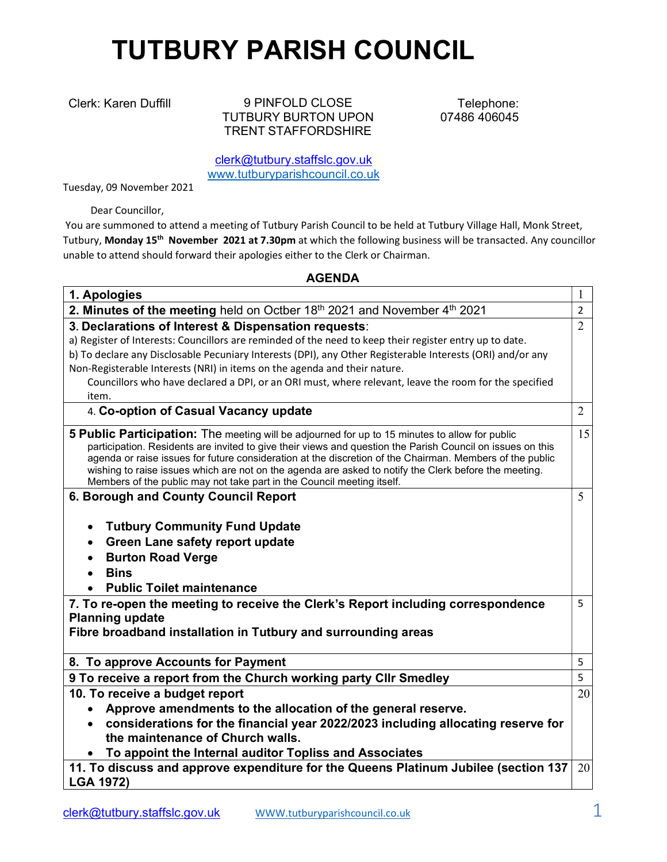## TUTBURY PARISH COUNCIL

Clerk: Karen Duffill 9 PINFOLD CLOSE TUTBURY BURTON UPON TRENT STAFFORDSHIRE

Telephone: 07486 406045

clerk@tutbury.staffslc.gov.uk www.tutburyparishcouncil.co.uk

Tuesday, 09 November 2021

Dear Councillor,

 You are summoned to attend a meeting of Tutbury Parish Council to be held at Tutbury Village Hall, Monk Street, Tutbury, Monday 15<sup>th</sup> November 2021 at 7.30pm at which the following business will be transacted. Any councillor unable to attend should forward their apologies either to the Clerk or Chairman.

## AGENDA

| 1. Apologies                                                                                                                                                                                                                                                                                                                                                                                                                                                                                                | 1              |
|-------------------------------------------------------------------------------------------------------------------------------------------------------------------------------------------------------------------------------------------------------------------------------------------------------------------------------------------------------------------------------------------------------------------------------------------------------------------------------------------------------------|----------------|
| 2. Minutes of the meeting held on Octber 18th 2021 and November $4th$ 2021                                                                                                                                                                                                                                                                                                                                                                                                                                  | $\overline{2}$ |
| 3. Declarations of Interest & Dispensation requests:<br>a) Register of Interests: Councillors are reminded of the need to keep their register entry up to date.<br>b) To declare any Disclosable Pecuniary Interests (DPI), any Other Registerable Interests (ORI) and/or any<br>Non-Registerable Interests (NRI) in items on the agenda and their nature.<br>Councillors who have declared a DPI, or an ORI must, where relevant, leave the room for the specified<br>item.                                | $\overline{2}$ |
| 4. Co-option of Casual Vacancy update                                                                                                                                                                                                                                                                                                                                                                                                                                                                       | $\overline{2}$ |
| 5 Public Participation: The meeting will be adjourned for up to 15 minutes to allow for public<br>participation. Residents are invited to give their views and question the Parish Council on issues on this<br>agenda or raise issues for future consideration at the discretion of the Chairman. Members of the public<br>wishing to raise issues which are not on the agenda are asked to notify the Clerk before the meeting.<br>Members of the public may not take part in the Council meeting itself. | 15             |
| 6. Borough and County Council Report                                                                                                                                                                                                                                                                                                                                                                                                                                                                        | 5              |
| <b>Tutbury Community Fund Update</b><br>$\bullet$<br><b>Green Lane safety report update</b><br>$\bullet$<br><b>Burton Road Verge</b><br>$\bullet$<br><b>Bins</b><br>$\bullet$<br><b>Public Toilet maintenance</b>                                                                                                                                                                                                                                                                                           |                |
| 7. To re-open the meeting to receive the Clerk's Report including correspondence<br><b>Planning update</b><br>Fibre broadband installation in Tutbury and surrounding areas                                                                                                                                                                                                                                                                                                                                 | 5              |
| 8. To approve Accounts for Payment                                                                                                                                                                                                                                                                                                                                                                                                                                                                          | 5              |
| 9 To receive a report from the Church working party Cllr Smedley                                                                                                                                                                                                                                                                                                                                                                                                                                            | 5              |
| 10. To receive a budget report<br>Approve amendments to the allocation of the general reserve.<br>considerations for the financial year 2022/2023 including allocating reserve for<br>the maintenance of Church walls.<br>To appoint the Internal auditor Topliss and Associates                                                                                                                                                                                                                            | 20             |
| 11. To discuss and approve expenditure for the Queens Platinum Jubilee (section 137<br><b>LGA 1972)</b>                                                                                                                                                                                                                                                                                                                                                                                                     | 20             |